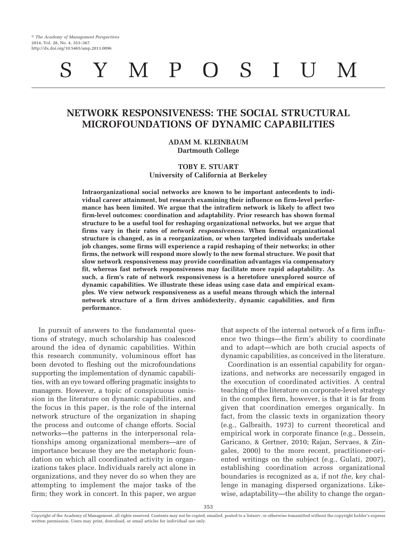# SYMPOSIUM

# **NETWORK RESPONSIVENESS: THE SOCIAL STRUCTURAL MICROFOUNDATIONS OF DYNAMIC CAPABILITIES**

**ADAM M. KLEINBAUM Dartmouth College**

# **TOBY E. STUART University of California at Berkeley**

**Intraorganizational social networks are known to be important antecedents to individual career attainment, but research examining their influence on firm-level performance has been limited. We argue that the intrafirm network is likely to affect two firm-level outcomes: coordination and adaptability. Prior research has shown formal structure to be a useful tool for reshaping organizational networks, but we argue that firms vary in their rates of** *network responsiveness***. When formal organizational structure is changed, as in a reorganization, or when targeted individuals undertake job changes, some firms will experience a rapid reshaping of their networks; in other firms, the network will respond more slowly to the new formal structure. We posit that slow network responsiveness may provide coordination advantages via compensatory fit, whereas fast network responsiveness may facilitate more rapid adaptability. As such, a firm's rate of network responsiveness is a heretofore unexplored source of dynamic capabilities. We illustrate these ideas using case data and empirical examples. We view network responsiveness as a useful means through which the internal network structure of a firm drives ambidexterity, dynamic capabilities, and firm performance.**

In pursuit of answers to the fundamental questions of strategy, much scholarship has coalesced around the idea of dynamic capabilities. Within this research community, voluminous effort has been devoted to fleshing out the microfoundations supporting the implementation of dynamic capabilities, with an eye toward offering pragmatic insights to managers. However, a topic of conspicuous omission in the literature on dynamic capabilities, and the focus in this paper, is the role of the internal network structure of the organization in shaping the process and outcome of change efforts. Social networks—the patterns in the interpersonal relationships among organizational members—are of importance because they are the metaphoric foundation on which all coordinated activity in organizations takes place. Individuals rarely act alone in organizations, and they never do so when they are attempting to implement the major tasks of the firm; they work in concert. In this paper, we argue

that aspects of the internal network of a firm influence two things—the firm's ability to coordinate and to adapt—which are both crucial aspects of dynamic capabilities, as conceived in the literature.

Coordination is an essential capability for organizations, and networks are necessarily engaged in the execution of coordinated activities. A central teaching of the literature on corporate-level strategy in the complex firm, however, is that it is far from given that coordination emerges organically. In fact, from the classic texts in organization theory (e.g., Galbraith, 1973) to current theoretical and empirical work in corporate finance (e.g., Dessein, Garicano, & Gertner, 2010; Rajan, Servaes, & Zingales, 2000) to the more recent, practitioner-oriented writings on the subject (e.g., Gulati, 2007), establishing coordination across organizational boundaries is recognized as a, if not *the*, key challenge in managing dispersed organizations. Likewise, adaptability—the ability to change the organ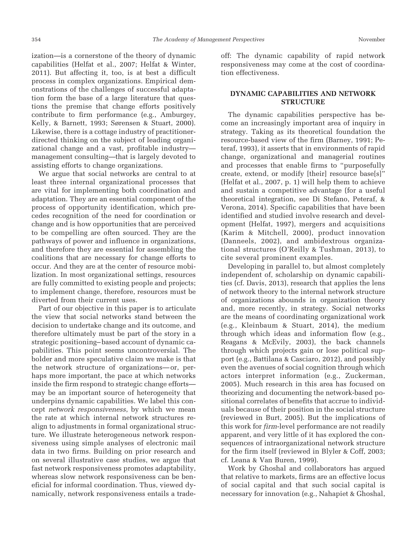ization—is a cornerstone of the theory of dynamic capabilities (Helfat et al., 2007; Helfat & Winter, 2011). But affecting it, too, is at best a difficult process in complex organizations. Empirical demonstrations of the challenges of successful adaptation form the base of a large literature that questions the premise that change efforts positively contribute to firm performance (e.g., Amburgey, Kelly, & Barnett, 1993; Sørensen & Stuart, 2000). Likewise, there is a cottage industry of practitionerdirected thinking on the subject of leading organizational change and a vast, profitable industry management consulting—that is largely devoted to assisting efforts to change organizations.

We argue that social networks are central to at least three internal organizational processes that are vital for implementing both coordination and adaptation. They are an essential component of the process of opportunity identification, which precedes recognition of the need for coordination or change and is how opportunities that are perceived to be compelling are often sourced. They are the pathways of power and influence in organizations, and therefore they are essential for assembling the coalitions that are necessary for change efforts to occur. And they are at the center of resource mobilization. In most organizational settings, resources are fully committed to existing people and projects; to implement change, therefore, resources must be diverted from their current uses.

Part of our objective in this paper is to articulate the view that social networks stand between the decision to undertake change and its outcome, and therefore ultimately must be part of the story in a strategic positioning– based account of dynamic capabilities. This point seems uncontroversial. The bolder and more speculative claim we make is that the network structure of organizations— or, perhaps more important, the pace at which networks inside the firm respond to strategic change efforts may be an important source of heterogeneity that underpins dynamic capabilities. We label this concept *network responsiveness*, by which we mean the rate at which internal network structures realign to adjustments in formal organizational structure. We illustrate heterogeneous network responsiveness using simple analyses of electronic mail data in two firms. Building on prior research and on several illustrative case studies, we argue that fast network responsiveness promotes adaptability, whereas slow network responsiveness can be beneficial for informal coordination. Thus, viewed dynamically, network responsiveness entails a tradeoff: The dynamic capability of rapid network responsiveness may come at the cost of coordination effectiveness.

#### **DYNAMIC CAPABILITIES AND NETWORK STRUCTURE**

The dynamic capabilities perspective has become an increasingly important area of inquiry in strategy. Taking as its theoretical foundation the resource-based view of the firm (Barney, 1991; Peteraf, 1993), it asserts that in environments of rapid change, organizational and managerial routines and processes that enable firms to "purposefully create, extend, or modify [their] resource base[s]" (Helfat et al., 2007, p. 1) will help them to achieve and sustain a competitive advantage (for a useful theoretical integration, see Di Stefano, Peteraf, & Verona, 2014). Specific capabilities that have been identified and studied involve research and development (Helfat, 1997), mergers and acquisitions (Karim & Mitchell, 2000), product innovation (Danneels, 2002), and ambidextrous organizational structures (O'Reilly & Tushman, 2013), to cite several prominent examples.

Developing in parallel to, but almost completely independent of, scholarship on dynamic capabilities (cf. Davis, 2013), research that applies the lens of network theory to the internal network structure of organizations abounds in organization theory and, more recently, in strategy. Social networks are the means of coordinating organizational work (e.g., Kleinbaum & Stuart, 2014), the medium through which ideas and information flow (e.g., Reagans & McEvily, 2003), the back channels through which projects gain or lose political support (e.g., Battilana & Casciaro, 2012), and possibly even the avenues of social cognition through which actors interpret information (e.g., Zuckerman, 2005). Much research in this area has focused on theorizing and documenting the network-based positional correlates of benefits that accrue to individuals because of their position in the social structure (reviewed in Burt, 2005). But the implications of this work for *firm*-level performance are not readily apparent, and very little of it has explored the consequences of intraorganizational network structure for the firm itself (reviewed in Blyler & Coff, 2003; cf. Leana & Van Buren, 1999).

Work by Ghoshal and collaborators has argued that relative to markets, firms are an effective locus of social capital and that such social capital is necessary for innovation (e.g., Nahapiet & Ghoshal,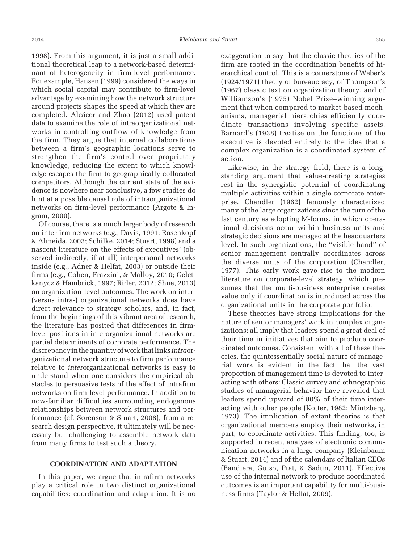1998). From this argument, it is just a small additional theoretical leap to a network-based determinant of heterogeneity in firm-level performance. For example, Hansen (1999) considered the ways in which social capital may contribute to firm-level advantage by examining how the network structure around projects shapes the speed at which they are completed. Alcácer and Zhao (2012) used patent data to examine the role of intraorganizational networks in controlling outflow of knowledge from the firm. They argue that internal collaborations between a firm's geographic locations serve to strengthen the firm's control over proprietary knowledge, reducing the extent to which knowledge escapes the firm to geographically collocated competitors. Although the current state of the evidence is nowhere near conclusive, a few studies do hint at a possible causal role of intraorganizational networks on firm-level performance (Argote & Ingram, 2000).

Of course, there is a much larger body of research on interfirm networks (e.g., Davis, 1991; Rosenkopf & Almeida, 2003; Schilke, 2014; Stuart, 1998) and a nascent literature on the effects of executives' (observed indirectly, if at all) interpersonal networks inside (e.g., Adner & Helfat, 2003) or outside their firms (e.g., Cohen, Frazzini, & Malloy, 2010; Geletkanycz & Hambrick, 1997; Rider, 2012; Shue, 2013) on organization-level outcomes. The work on inter- (versus intra-) organizational networks does have direct relevance to strategy scholars, and, in fact, from the beginnings of this vibrant area of research, the literature has posited that differences in firmlevel positions in interorganizational networks are partial determinants of corporate performance. The discrepancy in thequantityofwork that links*intra*organizational network structure to firm performance relative to *inter*organizational networks is easy to understand when one considers the empirical obstacles to persuasive tests of the effect of intrafirm networks on firm-level performance. In addition to now-familiar difficulties surrounding endogenous relationships between network structures and performance (cf. Sorenson & Stuart, 2008), from a research design perspective, it ultimately will be necessary but challenging to assemble network data from many firms to test such a theory.

#### **COORDINATION AND ADAPTATION**

In this paper, we argue that intrafirm networks play a critical role in two distinct organizational capabilities: coordination and adaptation. It is no

exaggeration to say that the classic theories of the firm are rooted in the coordination benefits of hierarchical control. This is a cornerstone of Weber's (1924/1971) theory of bureaucracy, of Thompson's (1967) classic text on organization theory, and of Williamson's (1975) Nobel Prize–winning argument that when compared to market-based mechanisms, managerial hierarchies efficiently coordinate transactions involving specific assets. Barnard's (1938) treatise on the functions of the executive is devoted entirely to the idea that a complex organization is a coordinated system of action.

Likewise, in the strategy field, there is a longstanding argument that value-creating strategies rest in the synergistic potential of coordinating multiple activities within a single corporate enterprise. Chandler (1962) famously characterized many of the large organizations since the turn of the last century as adopting M-forms, in which operational decisions occur within business units and strategic decisions are managed at the headquarters level. In such organizations, the "visible hand" of senior management centrally coordinates across the diverse units of the corporation (Chandler, 1977). This early work gave rise to the modern literature on corporate-level strategy, which presumes that the multi-business enterprise creates value only if coordination is introduced across the organizational units in the corporate portfolio.

These theories have strong implications for the nature of senior managers' work in complex organizations; all imply that leaders spend a great deal of their time in initiatives that aim to produce coordinated outcomes. Consistent with all of these theories, the quintessentially social nature of managerial work is evident in the fact that the vast proportion of management time is devoted to interacting with others: Classic survey and ethnographic studies of managerial behavior have revealed that leaders spend upward of 80% of their time interacting with other people (Kotter, 1982; Mintzberg, 1973). The implication of extant theories is that organizational members employ their networks, in part, to coordinate activities. This finding, too, is supported in recent analyses of electronic communication networks in a large company (Kleinbaum & Stuart, 2014) and of the calendars of Italian CEOs (Bandiera, Guiso, Prat, & Sadun, 2011). Effective use of the internal network to produce coordinated outcomes is an important capability for multi-business firms (Taylor & Helfat, 2009).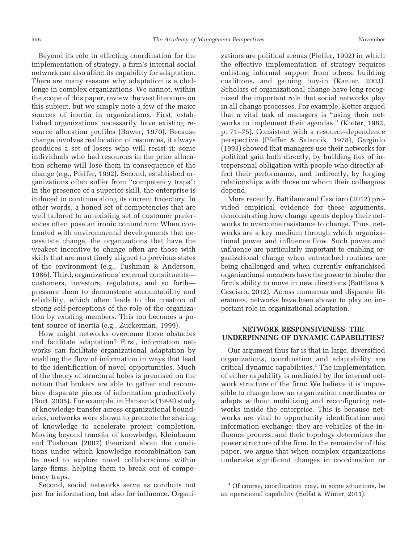Beyond its role in effecting coordination for the implementation of strategy, a firm's internal social network can also affect its capability for adaptation. There are many reasons why adaptation is a challenge in complex organizations. We cannot, within the scope of this paper, review the vast literature on this subject, but we simply note a few of the major sources of inertia in organizations. First, established organizations necessarily have existing resource allocation profiles (Bower, 1970). Because change involves reallocation of resources, it always produces a set of losers who will resist it; some individuals who had resources in the prior allocation scheme will lose them in consequence of the change (e.g., Pfeffer, 1992). Second, established organizations often suffer from "competency traps": In the presence of a superior skill, the enterprise is induced to continue along its current trajectory. In other words, a honed set of competencies that are well tailored to an existing set of customer preferences often pose an ironic conundrum: When confronted with environmental developments that necessitate change, the organizations that have the weakest incentive to change often are those with skills that are most finely aligned to previous states of the environment (e.g., Tushman & Anderson, 1986). Third, organizations' external constituents customers, investors, regulators, and so forth pressure them to demonstrate accountability and reliability, which often leads to the creation of strong self-perceptions of the role of the organization by existing members. This too becomes a potent source of inertia (e.g., Zuckerman, 1999).

How might networks overcome these obstacles and facilitate adaptation? First, information networks can facilitate organizational adaptation by enabling the flow of information in ways that lead to the identification of novel opportunities. Much of the theory of structural holes is premised on the notion that brokers are able to gather and recombine disparate pieces of information productively (Burt, 2005). For example, in Hansen's (1999) study of knowledge transfer across organizational boundaries, networks were shown to promote the sharing of knowledge to accelerate project completion. Moving beyond transfer of knowledge, Kleinbaum and Tushman (2007) theorized about the conditions under which knowledge recombination can be used to explore novel collaborations within large firms, helping them to break out of competency traps.

Second, social networks serve as conduits not just for information, but also for influence. Organizations are political arenas (Pfeffer, 1992) in which the effective implementation of strategy requires enlisting informal support from others, building coalitions, and gaining buy-in (Kanter, 2003). Scholars of organizational change have long recognized the important role that social networks play in all change processes. For example, Kotter argued that a vital task of managers is "using their networks to implement their agendas," (Kotter, 1982, p. 71–75). Consistent with a resource-dependence perspective (Pfeffer & Salancik, 1978), Gargiulo (1993) showed that managers use their networks for political gain both directly, by building ties of interpersonal obligation with people who directly affect their performance, and indirectly, by forging relationships with those on whom their colleagues depend.

More recently, Battilana and Casciaro (2012) provided empirical evidence for these arguments, demonstrating how change agents deploy their networks to overcome resistance to change. Thus, networks are a key medium through which organizational power and influence flow. Such power and influence are particularly important to enabling organizational change when entrenched routines are being challenged and when currently enfranchised organizational members have the power to hinder the firm's ability to move in new directions (Battilana & Casciaro, 2012). Across numerous and disparate literatures, networks have been shown to play an important role in organizational adaptation.

# **NETWORK RESPONSIVENESS: THE UNDERPINNING OF DYNAMIC CAPABILITIES?**

Our argument thus far is that in large, diversified organizations, coordination and adaptability are critical dynamic capabilities.<sup>1</sup> The implementation of either capability is mediated by the internal network structure of the firm: We believe it is impossible to change how an organization coordinates or adapts without mobilizing and reconfiguring networks inside the enterprise. This is because networks are vital to opportunity identification and information exchange; they are vehicles of the influence process, and their topology determines the power structure of the firm. In the remainder of this paper, we argue that when complex organizations undertake significant changes in coordination or

<sup>1</sup> Of course, coordination may, in some situations, be an operational capability (Helfat & Winter, 2011).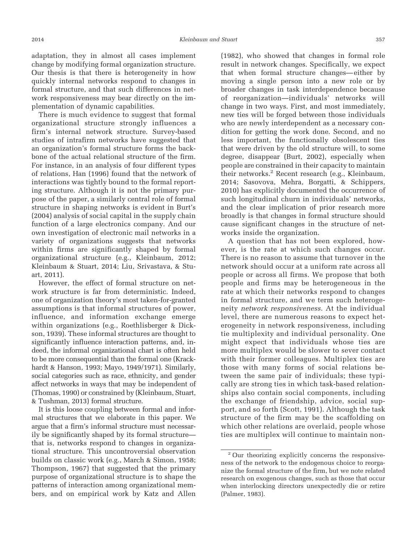adaptation, they in almost all cases implement change by modifying formal organization structure. Our thesis is that there is heterogeneity in how quickly internal networks respond to changes in formal structure, and that such differences in network responsiveness may bear directly on the implementation of dynamic capabilities.

There is much evidence to suggest that formal organizational structure strongly influences a firm's internal network structure. Survey-based studies of intrafirm networks have suggested that an organization's formal structure forms the backbone of the actual relational structure of the firm. For instance, in an analysis of four different types of relations, Han (1996) found that the network of interactions was tightly bound to the formal reporting structure. Although it is not the primary purpose of the paper, a similarly central role of formal structure in shaping networks is evident in Burt's (2004) analysis of social capital in the supply chain function of a large electronics company. And our own investigation of electronic mail networks in a variety of organizations suggests that networks within firms are significantly shaped by formal organizational structure (e.g., Kleinbaum, 2012; Kleinbaum & Stuart, 2014; Liu, Srivastava, & Stuart, 2011).

However, the effect of formal structure on network structure is far from deterministic. Indeed, one of organization theory's most taken-for-granted assumptions is that informal structures of power, influence, and information exchange emerge within organizations (e.g., Roethlisberger & Dickson, 1939). These informal structures are thought to significantly influence interaction patterns, and, indeed, the informal organizational chart is often held to be more consequential than the formal one (Krackhardt & Hanson, 1993; Mayo, 1949/1971). Similarly, social categories such as race, ethnicity, and gender affect networks in ways that may be independent of (Thomas, 1990) or constrained by (Kleinbaum, Stuart, & Tushman, 2013) formal structure.

It is this loose coupling between formal and informal structures that we elaborate in this paper. We argue that a firm's informal structure must necessarily be significantly shaped by its formal structure that is, networks respond to changes in organizational structure. This uncontroversial observation builds on classic work (e.g., March & Simon, 1958; Thompson, 1967) that suggested that the primary purpose of organizational structure is to shape the patterns of interaction among organizational members, and on empirical work by Katz and Allen

(1982), who showed that changes in formal role result in network changes. Specifically, we expect that when formal structure changes— either by moving a single person into a new role or by broader changes in task interdependence because of reorganization—individuals' networks will change in two ways. First, and most immediately, new ties will be forged between those individuals who are newly interdependent as a necessary condition for getting the work done. Second, and no less important, the functionally obsolescent ties that were driven by the old structure will, to some degree, disappear (Burt, 2002), especially when people are constrained in their capacity to maintain their networks.<sup>2</sup> Recent research (e.g., Kleinbaum, 2014; Sasovova, Mehra, Borgatti, & Schippers, 2010) has explicitly documented the occurrence of such longitudinal churn in individuals' networks, and the clear implication of prior research more broadly is that changes in formal structure should cause significant changes in the structure of networks inside the organization.

A question that has not been explored, however, is the rate at which such changes occur. There is no reason to assume that turnover in the network should occur at a uniform rate across all people or across all firms. We propose that both people and firms may be heterogeneous in the rate at which their networks respond to changes in formal structure, and we term such heterogeneity *network responsiveness*. At the individual level, there are numerous reasons to expect heterogeneity in network responsiveness, including tie multiplexity and individual personality. One might expect that individuals whose ties are more multiplex would be slower to sever contact with their former colleagues. Multiplex ties are those with many forms of social relations between the same pair of individuals; these typically are strong ties in which task-based relationships also contain social components, including the exchange of friendship, advice, social support, and so forth (Scott, 1991). Although the task structure of the firm may be the scaffolding on which other relations are overlaid, people whose ties are multiplex will continue to maintain non-

<sup>2</sup> Our theorizing explicitly concerns the responsiveness of the network to the endogenous choice to reorganize the formal structure of the firm, but we note related research on exogenous changes, such as those that occur when interlocking directors unexpectedly die or retire (Palmer, 1983).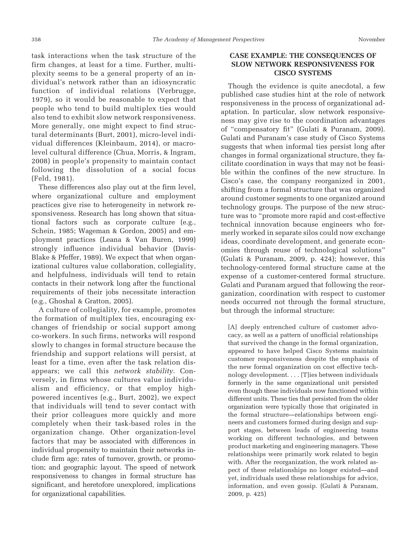task interactions when the task structure of the firm changes, at least for a time. Further, multiplexity seems to be a general property of an individual's network rather than an idiosyncratic function of individual relations (Verbrugge, 1979), so it would be reasonable to expect that people who tend to build multiplex ties would also tend to exhibit slow network responsiveness. More generally, one might expect to find structural determinants (Burt, 2001), micro-level individual differences (Kleinbaum, 2014), or macrolevel cultural difference (Chua, Morris, & Ingram, 2008) in people's propensity to maintain contact following the dissolution of a social focus (Feld, 1981).

These differences also play out at the firm level, where organizational culture and employment practices give rise to heterogeneity in network responsiveness. Research has long shown that situational factors such as corporate culture (e.g., Schein, 1985; Wageman & Gordon, 2005) and employment practices (Leana & Van Buren, 1999) strongly influence individual behavior (Davis-Blake & Pfeffer, 1989). We expect that when organizational cultures value collaboration, collegiality, and helpfulness, individuals will tend to retain contacts in their network long after the functional requirements of their jobs necessitate interaction (e.g., Ghoshal & Gratton, 2005).

A culture of collegiality, for example, promotes the formation of multiplex ties, encouraging exchanges of friendship or social support among co-workers. In such firms, networks will respond slowly to changes in formal structure because the friendship and support relations will persist, at least for a time, even after the task relation disappears; we call this *network stability*. Conversely, in firms whose cultures value individualism and efficiency, or that employ highpowered incentives (e.g., Burt, 2002), we expect that individuals will tend to sever contact with their prior colleagues more quickly and more completely when their task-based roles in the organization change. Other organization-level factors that may be associated with differences in individual propensity to maintain their networks include firm age; rates of turnover, growth, or promotion; and geographic layout. The speed of network responsiveness to changes in formal structure has significant, and heretofore unexplored, implications for organizational capabilities.

# **CASE EXAMPLE: THE CONSEQUENCES OF SLOW NETWORK RESPONSIVENESS FOR CISCO SYSTEMS**

Though the evidence is quite anecdotal, a few published case studies hint at the role of network responsiveness in the process of organizational adaptation. In particular, slow network responsiveness may give rise to the coordination advantages of "compensatory fit" (Gulati & Puranam, 2009). Gulati and Puranam's case study of Cisco Systems suggests that when informal ties persist long after changes in formal organizational structure, they facilitate coordination in ways that may not be feasible within the confines of the new structure. In Cisco's case, the company reorganized in 2001, shifting from a formal structure that was organized around customer segments to one organized around technology groups. The purpose of the new structure was to "promote more rapid and cost-effective technical innovation because engineers who formerly worked in separate silos could now exchange ideas, coordinate development, and generate economies through reuse of technological solutions" (Gulati & Puranam, 2009, p. 424); however, this technology-centered formal structure came at the expense of a customer-centered formal structure. Gulati and Puranam argued that following the reorganization, coordination with respect to customer needs occurred not through the formal structure, but through the informal structure:

[A] deeply entrenched culture of customer advocacy, as well as a pattern of unofficial relationships that survived the change in the formal organization, appeared to have helped Cisco Systems maintain customer responsiveness despite the emphasis of the new formal organization on cost effective technology development.... [T]ies between individuals formerly in the same organizational unit persisted even though these individuals now functioned within different units. These ties that persisted from the older organization were typically those that originated in the formal structure—relationships between engineers and customers formed during design and support stages, between leads of engineering teams working on different technologies, and between product marketing and engineering managers. These relationships were primarily work related to begin with. After the reorganization, the work related aspect of these relationships no longer existed—and yet, individuals used these relationships for advice, information, and even gossip. (Gulati & Puranam, 2009, p. 425)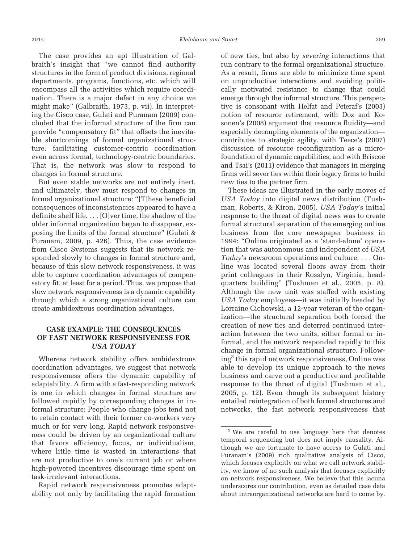The case provides an apt illustration of Galbraith's insight that "we cannot find authority structures in the form of product divisions, regional departments, programs, functions, etc. which will encompass all the activities which require coordination. There is a major defect in any choice we might make" (Galbraith, 1973, p. vii). In interpreting the Cisco case, Gulati and Puranam (2009) concluded that the informal structure of the firm can provide "compensatory fit" that offsets the inevitable shortcomings of formal organizational structure, facilitating customer-centric coordination even across formal, technology-centric boundaries. That is, the network was slow to respond to changes in formal structure.

But even stable networks are not entirely inert, and ultimately, they must respond to changes in formal organizational structure: "[T]hese beneficial consequences of inconsistencies appeared to have a definite shelf life.... [O]ver time, the shadow of the older informal organization began to disappear, exposing the limits of the formal structure" (Gulati & Puranam, 2009, p. 426). Thus, the case evidence from Cisco Systems suggests that its network responded slowly to changes in formal structure and, because of this slow network responsiveness, it was able to capture coordination advantages of compensatory fit, at least for a period. Thus, we propose that slow network responsiveness is a dynamic capability through which a strong organizational culture can create ambidextrous coordination advantages.

# **CASE EXAMPLE: THE CONSEQUENCES OF FAST NETWORK RESPONSIVENESS FOR** *USA TODAY*

Whereas network stability offers ambidextrous coordination advantages, we suggest that network responsiveness offers the dynamic capability of adaptability. A firm with a fast-responding network is one in which changes in formal structure are followed rapidly by corresponding changes in informal structure: People who change jobs tend not to retain contact with their former co-workers very much or for very long. Rapid network responsiveness could be driven by an organizational culture that favors efficiency, focus, or individualism, where little time is wasted in interactions that are not productive to one's current job or where high-powered incentives discourage time spent on task-irrelevant interactions.

Rapid network responsiveness promotes adaptability not only by facilitating the rapid formation of new ties, but also by *severing* interactions that run contrary to the formal organizational structure. As a result, firms are able to minimize time spent on unproductive interactions and avoiding politically motivated resistance to change that could emerge through the informal structure. This perspective is consonant with Helfat and Peteraf's (2003) notion of resource retirement, with Doz and Kosonen's (2008) argument that resource fluidity—and especially decoupling elements of the organization contributes to strategic agility, with Teece's (2007) discussion of resource reconfiguration as a microfoundation of dynamic capabilities, and with Briscoe and Tsai's (2011) evidence that managers in merging firms will sever ties within their legacy firms to build new ties to the partner firm.

These ideas are illustrated in the early moves of *USA Today* into digital news distribution (Tushman, Roberts, & Kiron, 2005). *USA Today*'s initial response to the threat of digital news was to create formal structural separation of the emerging online business from the core newspaper business in 1994: "Online originated as a 'stand-alone' operation that was autonomous and independent of *USA Today*'s newsroom operations and culture. . . . Online was located several floors away from their print colleagues in their Rosslyn, Virginia, headquarters building" (Tushman et al., 2005, p. 8). Although the new unit was staffed with existing *USA Today* employees—it was initially headed by Lorraine Cichowski, a 12-year veteran of the organization—the structural separation both forced the creation of new ties and deterred continued interaction between the two units, either formal or informal, and the network responded rapidly to this change in formal organizational structure. Following<sup>3</sup> this rapid network responsiveness, Online was able to develop its unique approach to the news business and carve out a productive and profitable response to the threat of digital (Tushman et al., 2005, p. 12). Even though its subsequent history entailed reintegration of both formal structures and networks, the fast network responsiveness that

<sup>&</sup>lt;sup>3</sup> We are careful to use language here that denotes temporal sequencing but does not imply causality. Although we are fortunate to have access to Gulati and Puranam's (2009) rich qualitative analysis of Cisco, which focuses explicitly on what we call network stability, we know of no such analysis that focuses explicitly on network responsiveness. We believe that this lacuna underscores our contribution, even as detailed case data about intraorganizational networks are hard to come by.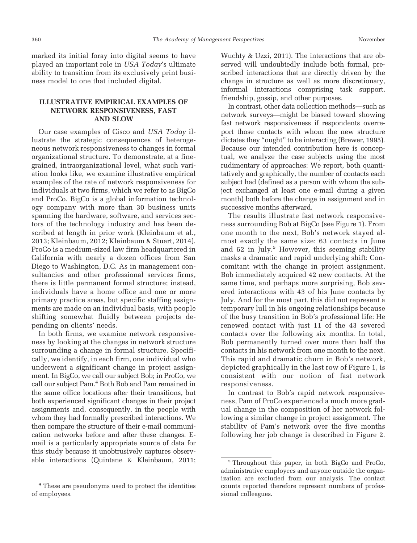marked its initial foray into digital seems to have played an important role in *USA Today*'s ultimate ability to transition from its exclusively print business model to one that included digital.

## **ILLUSTRATIVE EMPIRICAL EXAMPLES OF NETWORK RESPONSIVENESS, FAST AND SLOW**

Our case examples of Cisco and *USA Today* illustrate the strategic consequences of heterogeneous network responsiveness to changes in formal organizational structure. To demonstrate, at a finegrained, intraorganizational level, what such variation looks like, we examine illustrative empirical examples of the rate of network responsiveness for individuals at two firms, which we refer to as BigCo and ProCo. BigCo is a global information technology company with more than 30 business units spanning the hardware, software, and services sectors of the technology industry and has been described at length in prior work (Kleinbaum et al., 2013; Kleinbaum, 2012; Kleinbaum & Stuart, 2014). ProCo is a medium-sized law firm headquartered in California with nearly a dozen offices from San Diego to Washington, D.C. As in management consultancies and other professional services firms, there is little permanent formal structure; instead, individuals have a home office and one or more primary practice areas, but specific staffing assignments are made on an individual basis, with people shifting somewhat fluidly between projects depending on clients' needs.

In both firms, we examine network responsiveness by looking at the changes in network structure surrounding a change in formal structure. Specifically, we identify, in each firm, one individual who underwent a significant change in project assignment. In BigCo, we call our subject Bob; in ProCo, we call our subject Pam.<sup>4</sup> Both Bob and Pam remained in the same office locations after their transitions, but both experienced significant changes in their project assignments and, consequently, in the people with whom they had formally prescribed interactions. We then compare the structure of their e-mail communication networks before and after these changes. Email is a particularly appropriate source of data for this study because it unobtrusively captures observable interactions (Quintane & Kleinbaum, 2011;

Wuchty & Uzzi, 2011). The interactions that are observed will undoubtedly include both formal, prescribed interactions that are directly driven by the change in structure as well as more discretionary, informal interactions comprising task support, friendship, gossip, and other purposes.

In contrast, other data collection methods—such as network surveys—might be biased toward showing fast network responsiveness if respondents overreport those contacts with whom the new structure dictates they "ought" to be interacting (Brewer, 1995). Because our intended contribution here is conceptual, we analyze the case subjects using the most rudimentary of approaches: We report, both quantitatively and graphically, the number of contacts each subject had (defined as a person with whom the subject exchanged at least one e-mail during a given month) both before the change in assignment and in successive months afterward.

The results illustrate fast network responsiveness surrounding Bob at BigCo (see Figure 1). From one month to the next, Bob's network stayed almost exactly the same size: 63 contacts in June and 62 in July.<sup>5</sup> However, this seeming stability masks a dramatic and rapid underlying shift: Concomitant with the change in project assignment, Bob immediately acquired 42 new contacts. At the same time, and perhaps more surprising, Bob severed interactions with 43 of his June contacts by July. And for the most part, this did not represent a temporary lull in his ongoing relationships because of the busy transition in Bob's professional life: He renewed contact with just 11 of the 43 severed contacts over the following six months. In total, Bob permanently turned over more than half the contacts in his network from one month to the next. This rapid and dramatic churn in Bob's network, depicted graphically in the last row of Figure 1, is consistent with our notion of fast network responsiveness.

In contrast to Bob's rapid network responsiveness, Pam of ProCo experienced a much more gradual change in the composition of her network following a similar change in project assignment. The stability of Pam's network over the five months following her job change is described in Figure 2.

<sup>4</sup> These are pseudonyms used to protect the identities of employees.

<sup>&</sup>lt;sup>5</sup> Throughout this paper, in both BigCo and ProCo, administrative employees and anyone outside the organization are excluded from our analysis. The contact counts reported therefore represent numbers of professional colleagues.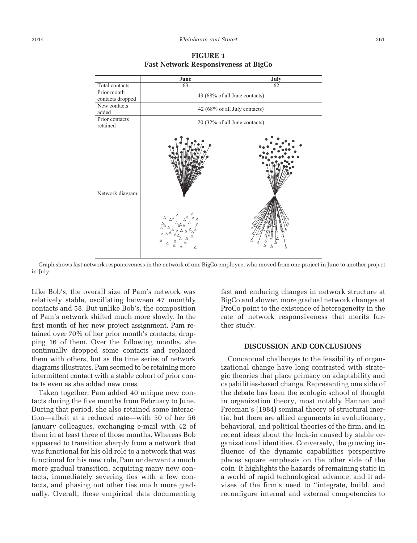|                                 | June                          | July                          |  |  |  |  |  |
|---------------------------------|-------------------------------|-------------------------------|--|--|--|--|--|
| Total contacts                  | 63                            | 62                            |  |  |  |  |  |
| Prior month<br>contacts dropped |                               | 43 (68% of all June contacts) |  |  |  |  |  |
| New contacts<br>added           | 42 (68% of all July contacts) |                               |  |  |  |  |  |
| Prior contacts<br>retained      | 20 (32% of all June contacts) |                               |  |  |  |  |  |
| Network diagram                 | Δ<br>Δ<br>Δ<br>Δ<br>Δ         |                               |  |  |  |  |  |
|                                 |                               |                               |  |  |  |  |  |

**FIGURE 1 Fast Network Responsiveness at BigCo**

Graph shows fast network responsiveness in the network of one BigCo employee, who moved from one project in June to another project in July.

Like Bob's, the overall size of Pam's network was relatively stable, oscillating between 47 monthly contacts and 58. But unlike Bob's, the composition of Pam's network shifted much more slowly. In the first month of her new project assignment, Pam retained over 70% of her prior month's contacts, dropping 16 of them. Over the following months, she continually dropped some contacts and replaced them with others, but as the time series of network diagrams illustrates, Pam seemed to be retaining more intermittent contact with a stable cohort of prior contacts even as she added new ones.

Taken together, Pam added 40 unique new contacts during the five months from February to June. During that period, she also retained some interaction—albeit at a reduced rate—with 50 of her 56 January colleagues, exchanging e-mail with 42 of them in at least three of those months. Whereas Bob appeared to transition sharply from a network that was functional for his old role to a network that was functional for his new role, Pam underwent a much more gradual transition, acquiring many new contacts, immediately severing ties with a few contacts, and phasing out other ties much more gradually. Overall, these empirical data documenting

fast and enduring changes in network structure at BigCo and slower, more gradual network changes at ProCo point to the existence of heterogeneity in the rate of network responsiveness that merits further study.

#### **DISCUSSION AND CONCLUSIONS**

Conceptual challenges to the feasibility of organizational change have long contrasted with strategic theories that place primacy on adaptability and capabilities-based change. Representing one side of the debate has been the ecologic school of thought in organization theory, most notably Hannan and Freeman's (1984) seminal theory of structural inertia, but there are allied arguments in evolutionary, behavioral, and political theories of the firm, and in recent ideas about the lock-in caused by stable organizational identities. Conversely, the growing influence of the dynamic capabilities perspective places square emphasis on the other side of the coin: It highlights the hazards of remaining static in a world of rapid technological advance, and it advises of the firm's need to "integrate, build, and reconfigure internal and external competencies to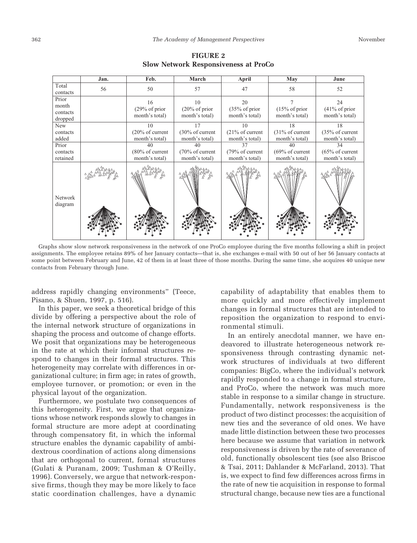|                                       | Jan. | Feb.                                                | March                                               | <b>April</b>                                        | May                                                 | June                                                |
|---------------------------------------|------|-----------------------------------------------------|-----------------------------------------------------|-----------------------------------------------------|-----------------------------------------------------|-----------------------------------------------------|
| Total<br>contacts                     | 56   | 50                                                  | 57                                                  | 47                                                  | 58                                                  | 52                                                  |
| Prior<br>month<br>contacts<br>dropped |      | 16<br>(29% of prior)<br>month's total)              | 10<br>$(20\% \text{ of prior})$<br>month's total)   | 20<br>(35% of prior)<br>month's total)              | $(15\% \text{ of prior})$<br>month's total)         | 24<br>$(41\% \text{ of prior})$<br>month's total)   |
| <b>New</b><br>contacts<br>added       |      | 10<br>$(20\% \text{ of current})$<br>month's total) | 17<br>$(30\% \text{ of current})$<br>month's total) | 10<br>$(21\% \text{ of current})$<br>month's total) | 18<br>$(31\% \text{ of current})$<br>month's total) | 18<br>$(35\% \text{ of current})$<br>month's total) |
| Prior<br>contacts<br>retained         |      | 40<br>$(80\% \text{ of current}$<br>month's total)  | 40<br>$(70\% \text{ of current})$<br>month's total) | 37<br>(79% of current)<br>month's total)            | 40<br>(69% of current)<br>month's total)            | 34<br>$(65\% \text{ of current})$<br>month's total) |
| Network<br>diagram                    |      |                                                     |                                                     |                                                     |                                                     |                                                     |
|                                       |      |                                                     |                                                     |                                                     |                                                     |                                                     |

**FIGURE 2 Slow Network Responsiveness at ProCo**

Graphs show slow network responsiveness in the network of one ProCo employee during the five months following a shift in project assignments. The employee retains 89% of her January contacts—that is, she exchanges e-mail with 50 out of her 56 January contacts at some point between February and June, 42 of them in at least three of those months. During the same time, she acquires 40 unique new contacts from February through June.

address rapidly changing environments" (Teece, Pisano, & Shuen, 1997, p. 516).

In this paper, we seek a theoretical bridge of this divide by offering a perspective about the role of the internal network structure of organizations in shaping the process and outcome of change efforts. We posit that organizations may be heterogeneous in the rate at which their informal structures respond to changes in their formal structures. This heterogeneity may correlate with differences in organizational culture; in firm age; in rates of growth, employee turnover, or promotion; or even in the physical layout of the organization.

Furthermore, we postulate two consequences of this heterogeneity. First, we argue that organizations whose network responds slowly to changes in formal structure are more adept at coordinating through compensatory fit, in which the informal structure enables the dynamic capability of ambidextrous coordination of actions along dimensions that are orthogonal to current, formal structures (Gulati & Puranam, 2009; Tushman & O'Reilly, 1996). Conversely, we argue that network-responsive firms, though they may be more likely to face static coordination challenges, have a dynamic

capability of adaptability that enables them to more quickly and more effectively implement changes in formal structures that are intended to reposition the organization to respond to environmental stimuli.

In an entirely anecdotal manner, we have endeavored to illustrate heterogeneous network responsiveness through contrasting dynamic network structures of individuals at two different companies: BigCo, where the individual's network rapidly responded to a change in formal structure, and ProCo, where the network was much more stable in response to a similar change in structure. Fundamentally, network responsiveness is the product of two distinct processes: the acquisition of new ties and the severance of old ones. We have made little distinction between these two processes here because we assume that variation in network responsiveness is driven by the rate of severance of old, functionally obsolescent ties (see also Briscoe & Tsai, 2011; Dahlander & McFarland, 2013). That is, we expect to find few differences across firms in the rate of new tie acquisition in response to formal structural change, because new ties are a functional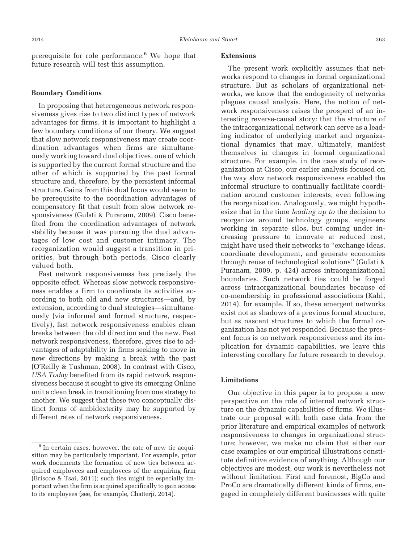prerequisite for role performance.<sup>6</sup> We hope that future research will test this assumption.

#### **Boundary Conditions**

In proposing that heterogeneous network responsiveness gives rise to two distinct types of network advantages for firms, it is important to highlight a few boundary conditions of our theory. We suggest that slow network responsiveness may create coordination advantages when firms are simultaneously working toward dual objectives, one of which is supported by the current formal structure and the other of which is supported by the past formal structure and, therefore, by the persistent informal structure. Gains from this dual focus would seem to be prerequisite to the coordination advantages of compensatory fit that result from slow network responsiveness (Gulati & Puranam, 2009). Cisco benefited from the coordination advantages of network stability because it was pursuing the dual advantages of low cost and customer intimacy. The reorganization would suggest a transition in priorities, but through both periods, Cisco clearly valued both.

Fast network responsiveness has precisely the opposite effect. Whereas slow network responsiveness enables a firm to coordinate its activities according to both old and new structures—and, by extension, according to dual strategies—simultaneously (via informal and formal structure, respectively), fast network responsiveness enables clean breaks between the old direction and the new. Fast network responsiveness, therefore, gives rise to advantages of adaptability in firms seeking to move in new directions by making a break with the past (O'Reilly & Tushman, 2008). In contrast with Cisco, *USA Today* benefited from its rapid network responsiveness because it sought to give its emerging Online unit a clean break in transitioning from one strategy to another. We suggest that these two conceptually distinct forms of ambidexterity may be supported by different rates of network responsiveness.

#### **Extensions**

The present work explicitly assumes that networks respond to changes in formal organizational structure. But as scholars of organizational networks, we know that the endogeneity of networks plagues causal analysis. Here, the notion of network responsiveness raises the prospect of an interesting reverse-causal story: that the structure of the intraorganizational network can serve as a leading indicator of underlying market and organizational dynamics that may, ultimately, manifest themselves in changes in formal organizational structure. For example, in the case study of reorganization at Cisco, our earlier analysis focused on the way slow network responsiveness enabled the informal structure to continually facilitate coordination around customer interests, even following the reorganization. Analogously, we might hypothesize that in the time *leading up to* the decision to reorganize around technology groups, engineers working in separate silos, but coming under increasing pressure to innovate at reduced cost, might have used their networks to "exchange ideas, coordinate development, and generate economies through reuse of technological solutions" (Gulati & Puranam, 2009, p. 424) across intraorganizational boundaries. Such network ties could be forged across intraorganizational boundaries because of co-membership in professional associations (Kahl, 2014), for example. If so, these emergent networks exist not as shadows of a previous formal structure, but as nascent structures to which the formal organization has not yet responded. Because the present focus is on network responsiveness and its implication for dynamic capabilities, we leave this interesting corollary for future research to develop.

#### **Limitations**

Our objective in this paper is to propose a new perspective on the role of internal network structure on the dynamic capabilities of firms. We illustrate our proposal with both case data from the prior literature and empirical examples of network responsiveness to changes in organizational structure; however, we make no claim that either our case examples or our empirical illustrations constitute definitive evidence of anything. Although our objectives are modest, our work is nevertheless not without limitation. First and foremost, BigCo and ProCo are dramatically different kinds of firms, engaged in completely different businesses with quite

<sup>&</sup>lt;sup>6</sup> In certain cases, however, the rate of new tie acquisition may be particularly important. For example, prior work documents the formation of new ties between acquired employees and employees of the acquiring firm (Briscoe & Tsai, 2011); such ties might be especially important when the firm is acquired specifically to gain access to its employees (see, for example, Chatterji, 2014).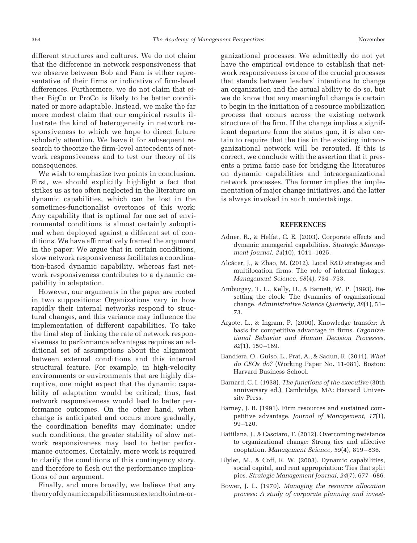different structures and cultures. We do not claim that the difference in network responsiveness that we observe between Bob and Pam is either representative of their firms or indicative of firm-level differences. Furthermore, we do not claim that either BigCo or ProCo is likely to be better coordinated or more adaptable. Instead, we make the far more modest claim that our empirical results illustrate the kind of heterogeneity in network responsiveness to which we hope to direct future scholarly attention. We leave it for subsequent research to theorize the firm-level antecedents of network responsiveness and to test our theory of its consequences.

We wish to emphasize two points in conclusion. First, we should explicitly highlight a fact that strikes us as too often neglected in the literature on dynamic capabilities, which can be lost in the sometimes-functionalist overtones of this work: Any capability that is optimal for one set of environmental conditions is almost certainly suboptimal when deployed against a different set of conditions. We have affirmatively framed the argument in the paper: We argue that in certain conditions, slow network responsiveness facilitates a coordination-based dynamic capability, whereas fast network responsiveness contributes to a dynamic capability in adaptation.

However, our arguments in the paper are rooted in two suppositions: Organizations vary in how rapidly their internal networks respond to structural changes, and this variance may influence the implementation of different capabilities. To take the final step of linking the rate of network responsiveness to performance advantages requires an additional set of assumptions about the alignment between external conditions and this internal structural feature. For example, in high-velocity environments or environments that are highly disruptive, one might expect that the dynamic capability of adaptation would be critical; thus, fast network responsiveness would lead to better performance outcomes. On the other hand, when change is anticipated and occurs more gradually, the coordination benefits may dominate; under such conditions, the greater stability of slow network responsiveness may lead to better performance outcomes. Certainly, more work is required to clarify the conditions of this contingency story, and therefore to flesh out the performance implications of our argument.

Finally, and more broadly, we believe that any theoryofdynamiccapabilitiesmustextendtointra-organizational processes. We admittedly do not yet have the empirical evidence to establish that network responsiveness is one of the crucial processes that stands between leaders' intentions to change an organization and the actual ability to do so, but we do know that any meaningful change is certain to begin in the initiation of a resource mobilization process that occurs across the existing network structure of the firm. If the change implies a significant departure from the status quo, it is also certain to require that the ties in the existing intraorganizational network will be rerouted. If this is correct, we conclude with the assertion that it presents a prima facie case for bridging the literatures on dynamic capabilities and intraorganizational network processes. The former implies the implementation of major change initiatives, and the latter is always invoked in such undertakings.

#### **REFERENCES**

- Adner, R., & Helfat, C. E. (2003). Corporate effects and dynamic managerial capabilities. *Strategic Management Journal, 24*(10), 1011–1025.
- Alcácer, J., & Zhao, M. (2012). Local R&D strategies and multilocation firms: The role of internal linkages. *Management Science, 58*(4), 734 –753.
- Amburgey, T. L., Kelly, D., & Barnett, W. P. (1993). Resetting the clock: The dynamics of organizational change. *Administrative Science Quarterly, 38*(1), 51– 73.
- Argote, L., & Ingram, P. (2000). Knowledge transfer: A basis for competitive advantage in firms. *Organizational Behavior and Human Decision Processes, 82*(1), 150 –169.
- Bandiera, O., Guiso, L., Prat, A., & Sadun, R. (2011). *What do CEOs do?* (Working Paper No. 11-081). Boston: Harvard Business School.
- Barnard, C. I. (1938). *The functions of the executive* (30th anniversary ed.). Cambridge, MA: Harvard University Press.
- Barney, J. B. (1991). Firm resources and sustained competitive advantage. *Journal of Management, 17*(1), 99 –120.
- Battilana, J., & Casciaro, T. (2012). Overcoming resistance to organizational change: Strong ties and affective cooptation. *Management Science, 59*(4), 819 – 836.
- Blyler, M., & Coff, R. W. (2003). Dynamic capabilities, social capital, and rent appropriation: Ties that split pies. *Strategic Management Journal, 24*(7), 677– 686.
- Bower, J. L. (1970). *Managing the resource allocation process: A study of corporate planning and invest-*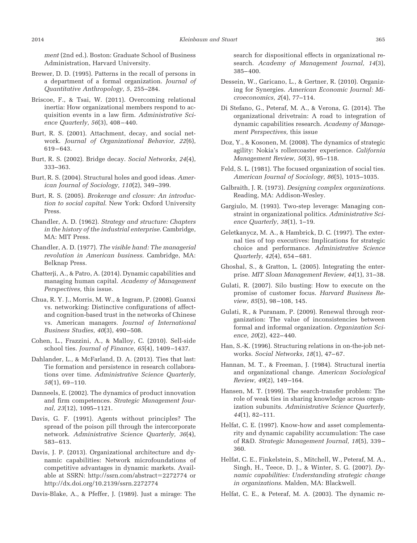*ment* (2nd ed.). Boston: Graduate School of Business Administration, Harvard University.

- Brewer, D. D. (1995). Patterns in the recall of persons in a department of a formal organization. *Journal of Quantitative Anthropology, 5*, 255–284.
- Briscoe, F., & Tsai, W. (2011). Overcoming relational inertia: How organizational members respond to acquisition events in a law firm. *Administrative Science Quarterly, 56*(3), 408 – 440.
- Burt, R. S. (2001). Attachment, decay, and social network. *Journal of Organizational Behavior, 22*(6), 619 – 643.
- Burt, R. S. (2002). Bridge decay. *Social Networks, 24*(4), 333–363.
- Burt, R. S. (2004). Structural holes and good ideas. *American Journal of Sociology, 110*(2), 349 –399.
- Burt, R. S. (2005). *Brokerage and closure: An introduction to social capital*. New York: Oxford University Press.
- Chandler, A. D. (1962). *Strategy and structure: Chapters in the history of the industrial enterprise*. Cambridge, MA: MIT Press.
- Chandler, A. D. (1977). *The visible hand: The managerial revolution in American business*. Cambridge, MA: Belknap Press.
- Chatterji, A., & Patro, A. (2014). Dynamic capabilities and managing human capital. *Academy of Management Perspectives,* this issue.
- Chua, R. Y. J., Morris, M. W., & Ingram, P. (2008). Guanxi vs. networking: Distinctive configurations of affectand cognition-based trust in the networks of Chinese vs. American managers. *Journal of International Business Studies, 40*(3), 490 –508.
- Cohen, L., Frazzini, A., & Malloy, C. (2010). Sell-side school ties. *Journal of Finance, 65*(4), 1409 –1437.
- Dahlander, L., & McFarland, D. A. (2013). Ties that last: Tie formation and persistence in research collaborations over time. *Administrative Science Quarterly, 58*(1), 69 –110.
- Danneels, E. (2002). The dynamics of product innovation and firm competences. *Strategic Management Journal, 23*(12), 1095–1121.
- Davis, G. F. (1991). Agents without principles? The spread of the poison pill through the intercorporate network. *Administrative Science Quarterly, 36*(4), 583– 613.
- Davis, J. P. (2013). Organizational architecture and dynamic capabilities: Network microfoundations of competitive advantages in dynamic markets. Available at SSRN: [http://ssrn.com/abstract](http://ssrn.com/abstract=2272774)=2272774 or <http://dx.doi.org/10.2139/ssrn.2272774>
- Davis-Blake, A., & Pfeffer, J. (1989). Just a mirage: The

search for dispositional effects in organizational research. *Academy of Management Journal, 14*(3), 385– 400.

- Dessein, W., Garicano, L., & Gertner, R. (2010). Organizing for Synergies. *American Economic Journal: Microeconomics, 2*(4), 77–114.
- Di Stefano, G., Peteraf, M. A., & Verona, G. (2014). The organizational drivetrain: A road to integration of dynamic capabilities research. *Academy of Management Perspectives,* this issue
- Doz, Y., & Kosonen, M. (2008). The dynamics of strategic agility: Nokia's rollercoaster experience. *California Management Review, 50*(3), 95–118.
- Feld, S. L. (1981). The focused organization of social ties. *American Journal of Sociology, 86*(5), 1015–1035.
- Galbraith, J. R. (1973). *Designing complex organizations*. Reading, MA: Addison-Wesley.
- Gargiulo, M. (1993). Two-step leverage: Managing constraint in organizational politics. *Administrative Science Quarterly, 38*(1), 1–19.
- Geletkanycz, M. A., & Hambrick, D. C. (1997). The external ties of top executives: Implications for strategic choice and performance. *Administrative Science Quarterly, 42*(4), 654 – 681.
- Ghoshal, S., & Gratton, L. (2005). Integrating the enterprise. *MIT Sloan Management Review, 44*(1), 31–38.
- Gulati, R. (2007). Silo busting: How to execute on the promise of customer focus. *Harvard Business Review, 85*(5), 98 –108, 145.
- Gulati, R., & Puranam, P. (2009). Renewal through reorganization: The value of inconsistencies between formal and informal organization. *Organization Science, 20*(2), 422– 440.
- Han, S.-K. (1996). Structuring relations in on-the-job networks. *Social Networks, 18*(1), 47– 67.
- Hannan, M. T., & Freeman, J. (1984). Structural inertia and organizational change. *American Sociological Review, 49*(2), 149 –164.
- Hansen, M. T. (1999). The search-transfer problem: The role of weak ties in sharing knowledge across organization subunits. *Administrative Science Quarterly, 44*(1), 82–111.
- Helfat, C. E. (1997). Know-how and asset complementarity and dynamic capability accumulation: The case of R&D. *Strategic Management Journal, 18*(5), 339 – 360.
- Helfat, C. E., Finkelstein, S., Mitchell, W., Peteraf, M. A., Singh, H., Teece, D. J., & Winter, S. G. (2007). *Dynamic capabilities: Understanding strategic change in organizations*. Malden, MA: Blackwell.
- Helfat, C. E., & Peteraf, M. A. (2003). The dynamic re-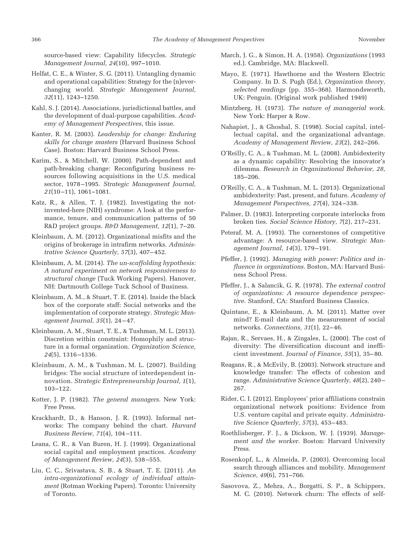source-based view: Capability lifecycles. *Strategic Management Journal, 24*(10), 997–1010.

- Helfat, C. E., & Winter, S. G. (2011). Untangling dynamic and operational capabilities: Strategy for the (n)everchanging world. *Strategic Management Journal, 32*(11), 1243–1250.
- Kahl, S. J. (2014). Associations, jurisdictional battles, and the development of dual-purpose capabilities. *Academy of Management Perspectives,* this issue.
- Kanter, R. M. (2003). *Leadership for change: Enduring skills for change masters* (Harvard Business School Case). Boston: Harvard Business School Press.
- Karim, S., & Mitchell, W. (2000). Path-dependent and path-breaking change: Reconfiguring business resources following acquisitions in the U.S. medical sector, 1978 –1995. *Strategic Management Journal, 21*(10 –11), 1061–1081.
- Katz, R., & Allen, T. J. (1982). Investigating the notinvented-here (NIH) syndrome: A look at the performance, tenure, and communication patterns of 50 R&D project groups. *R&D Management, 12*(1), 7–20.
- Kleinbaum, A. M. (2012). Organizational misfits and the origins of brokerage in intrafirm networks. *Administrative Science Quarterly, 57*(3), 407– 452.
- Kleinbaum, A. M. (2014). *The un-scaffolding hypothesis: A natural experiment on network responsiveness to structural change* (Tuck Working Papers). Hanover, NH: Dartmouth College Tuck School of Business.
- Kleinbaum, A. M., & Stuart, T. E. (2014). Inside the black box of the corporate staff: Social networks and the implementation of corporate strategy. *Strategic Management Journal, 35*(1), 24 – 47.
- Kleinbaum, A. M., Stuart, T. E., & Tushman, M. L. (2013). Discretion within constraint: Homophily and structure in a formal organization. *Organization Science, 24*(5), 1316 –1336.
- Kleinbaum, A. M., & Tushman, M. L. (2007). Building bridges: The social structure of interdependent innovation. *Strategic Entrepreneurship Journal, 1*(1), 103–122.
- Kotter, J. P. (1982). *The general managers*. New York: Free Press.
- Krackhardt, D., & Hanson, J. R. (1993). Informal networks: The company behind the chart. *Harvard Business Review, 71*(4), 104 –111.
- Leana, C. R., & Van Buren, H. J. (1999). Organizational social capital and employment practices. *Academy of Management Review, 24*(3), 538 –555.
- Liu, C. C., Srivastava, S. B., & Stuart, T. E. (2011). *An intra-organizational ecology of individual attainment* (Rotman Working Papers). Toronto: University of Toronto.
- March, J. G., & Simon, H. A. (1958). *Organizations* (1993 ed.). Cambridge, MA: Blackwell.
- Mayo, E. (1971). Hawthorne and the Western Electric Company. In D. S. Pugh (Ed.), *Organization theory, selected readings* (pp. 355–368). Harmondsworth, UK: Penguin. (Original work published 1949)
- Mintzberg, H. (1973). *The nature of managerial work*. New York: Harper & Row.
- Nahapiet, J., & Ghoshal, S. (1998). Social capital, intellectual capital, and the organizational advantage. *Academy of Management Review, 23*(2), 242–266.
- O'Reilly, C. A., & Tushman, M. L. (2008). Ambidexterity as a dynamic capability: Resolving the innovator's dilemma. *Research in Organizational Behavior, 28*, 185–206.
- O'Reilly, C. A., & Tushman, M. L. (2013). Organizational ambidexterity: Past, present, and future. *Academy of Management Perspectives, 27*(4), 324 –338.
- Palmer, D. (1983). Interpreting corporate interlocks from broken ties. *Social Science History, 7*(2), 217–231.
- Peteraf, M. A. (1993). The cornerstones of competitive advantage: A resource-based view. *Strategic Management Journal, 14*(3), 179 –191.
- Pfeffer, J. (1992). *Managing with power: Politics and influence in organizations*. Boston, MA: Harvard Business School Press.
- Pfeffer, J., & Salancik, G. R. (1978). *The external control of organizations: A resource dependence perspective*. Stanford, CA: Stanford Business Classics.
- Quintane, E., & Kleinbaum, A. M. (2011). Matter over mind? E-mail data and the measurement of social networks. *Connections, 31*(1), 22– 46.
- Rajan, R., Servaes, H., & Zingales, L. (2000). The cost of diversity: The diversification discount and inefficient investment. *Journal of Finance, 55*(1), 35– 80.
- Reagans, R., & McEvily, B. (2003). Network structure and knowledge transfer: The effects of cohesion and range. *Administrative Science Quarterly, 48*(2), 240 – 267.
- Rider, C. I. (2012). Employees' prior affiliations constrain organizational network positions: Evidence from U.S. venture capital and private equity. *Administrative Science Quarterly, 57*(3), 453– 483.
- Roethlisberger, F. J., & Dickson, W. J. (1939). *Management and the worker*. Boston: Harvard University Press.
- Rosenkopf, L., & Almeida, P. (2003). Overcoming local search through alliances and mobility. *Management Science, 49*(6), 751–766.
- Sasovova, Z., Mehra, A., Borgatti, S. P., & Schippers, M. C. (2010). Network churn: The effects of self-